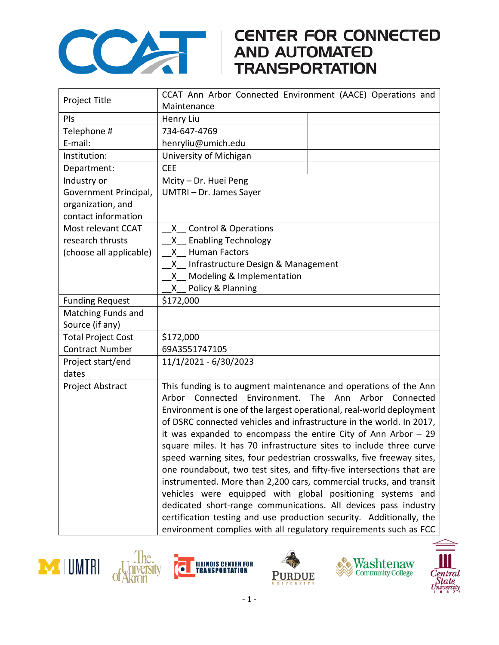

## **CENTER FOR CONNECTED**

| Project Title             | CCAT Ann Arbor Connected Environment (AACE) Operations and            |  |  |
|---------------------------|-----------------------------------------------------------------------|--|--|
|                           | Maintenance                                                           |  |  |
| PIs                       | Henry Liu                                                             |  |  |
| Telephone #               | 734-647-4769                                                          |  |  |
| E-mail:                   | henryliu@umich.edu                                                    |  |  |
| Institution:              | University of Michigan                                                |  |  |
| Department:               | <b>CEE</b>                                                            |  |  |
| Industry or               | Mcity - Dr. Huei Peng                                                 |  |  |
| Government Principal,     | UMTRI - Dr. James Sayer                                               |  |  |
| organization, and         |                                                                       |  |  |
| contact information       |                                                                       |  |  |
| Most relevant CCAT        | X Control & Operations                                                |  |  |
| research thrusts          | X Enabling Technology                                                 |  |  |
| (choose all applicable)   | X Human Factors                                                       |  |  |
|                           | X Infrastructure Design & Management                                  |  |  |
|                           | Modeling & Implementation<br>X.                                       |  |  |
|                           | Policy & Planning<br>X,                                               |  |  |
| <b>Funding Request</b>    | \$172,000                                                             |  |  |
| Matching Funds and        |                                                                       |  |  |
| Source (if any)           |                                                                       |  |  |
| <b>Total Project Cost</b> | \$172,000                                                             |  |  |
| <b>Contract Number</b>    | 69A3551747105                                                         |  |  |
| Project start/end         | 11/1/2021 - 6/30/2023                                                 |  |  |
| dates                     |                                                                       |  |  |
| Project Abstract          | This funding is to augment maintenance and operations of the Ann      |  |  |
|                           | Environment.<br>Connected<br>The<br>Ann<br>Arbor Connected<br>Arbor   |  |  |
|                           | Environment is one of the largest operational, real-world deployment  |  |  |
|                           | of DSRC connected vehicles and infrastructure in the world. In 2017,  |  |  |
|                           | it was expanded to encompass the entire City of Ann Arbor $-29$       |  |  |
|                           | square miles. It has 70 infrastructure sites to include three curve   |  |  |
|                           | speed warning sites, four pedestrian crosswalks, five freeway sites,  |  |  |
|                           | one roundabout, two test sites, and fifty-five intersections that are |  |  |
|                           | instrumented. More than 2,200 cars, commercial trucks, and transit    |  |  |
|                           | vehicles were equipped with global positioning systems and            |  |  |
|                           | dedicated short-range communications. All devices pass industry       |  |  |
|                           | certification testing and use production security. Additionally, the  |  |  |
|                           | environment complies with all regulatory requirements such as FCC     |  |  |